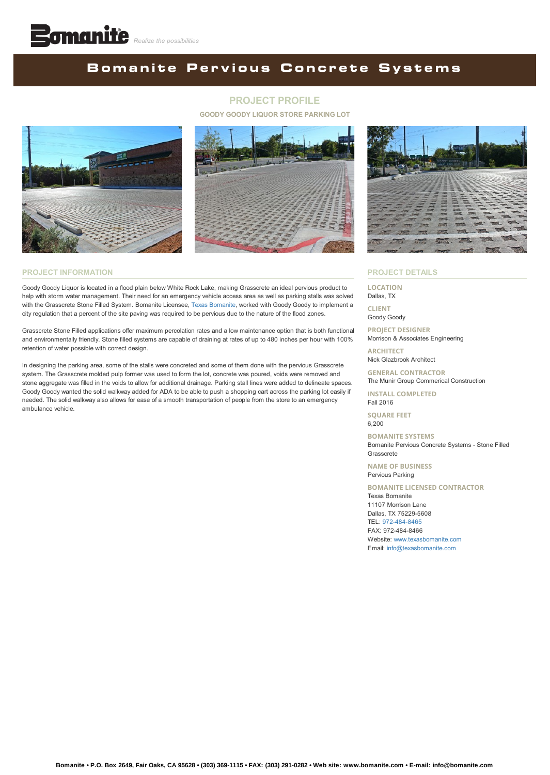## **BomanitePervious Concrete Systems**

### **PROJECT PROFILE**

**GOODY GOODY LIQUOR STORE PARKING LOT**





#### **PROJECT INFORMATION**

Goody Goody Liquor is located in a flood plain below White Rock Lake, making Grasscrete an ideal pervious product to help with storm water management. Their need for an emergency vehicle access area as well as parking stalls was solved with the Grasscrete Stone Filled System. Bomanite Licensee, [Texas Bomanite,](http://www.texasbomanite.com/) worked with Goody Goody to implement a city regulation that a percent of the site paving was required to be pervious due to the nature of the flood zones.

Grasscrete Stone Filled applications offer maximum percolation rates and a low maintenance option that is both functional and environmentally friendly. Stone filled systems are capable of draining at rates of up to 480 inches per hour with 100% retention of water possible with correct design.

In designing the parking area, some of the stalls were concreted and some of them done with the pervious Grasscrete system. The Grasscrete molded pulp former was used to form the lot, concrete was poured, voids were removed and stone aggregate was filled in the voids to allow for additional drainage. Parking stall lines were added to delineate spaces. Goody Goody wanted the solid walkway added for ADA to be able to push a shopping cart across the parking lot easily if needed. The solid walkway also allows for ease of a smooth transportation of people from the store to an emergency ambulance vehicle.



#### **PROJECT DETAILS**

**LOCATION** Dallas, TX **CLIENT**

Goody Goody

**PROJECT DESIGNER** Morrison & Associates Engineering

**ARCHITECT** Nick Glazbrook Architect

**GENERAL CONTRACTOR** The Munir Group Commerical Construction

**INSTALL COMPLETED** Fall 2016

**SQUARE FEET** 6,200

**BOMANITE SYSTEMS** Bomanite Pervious Concrete Systems - Stone Filled Grasscrete

**NAME OF BUSINESS** Pervious Parking

**BOMANITE LICENSED CONTRACTOR**

Texas Bomanite 11107 Morrison Lane Dallas, TX 75229-5608 TEL: [972-484-8465](tel:1-972-484-8465) FAX: 972-484-8466 Website: [www.texasbomanite.com](http://www.texasbomanite.com/) Email: [info@texasbomanite.com](mailto:info@texasbomanite.com?cc=info@bomanite.com&subject=I%20Need%20More%20Info%20About%20Project%20Profile:%20GoodyGoodyLiquor)